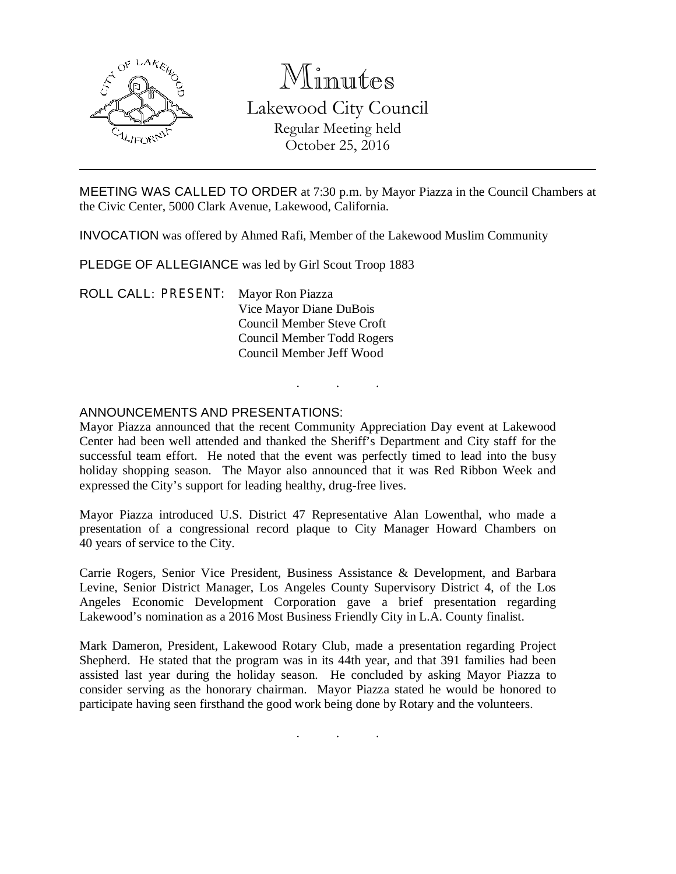

# Minutes Lakewood City Council Regular Meeting held October 25, 2016

MEETING WAS CALLED TO ORDER at 7:30 p.m. by Mayor Piazza in the Council Chambers at the Civic Center, 5000 Clark Avenue, Lakewood, California.

INVOCATION was offered by Ahmed Rafi, Member of the Lakewood Muslim Community

PLEDGE OF ALLEGIANCE was led by Girl Scout Troop 1883

ROLL CALL: PRESENT: Mayor Ron Piazza Vice Mayor Diane DuBois Council Member Steve Croft Council Member Todd Rogers Council Member Jeff Wood

# ANNOUNCEMENTS AND PRESENTATIONS:

Mayor Piazza announced that the recent Community Appreciation Day event at Lakewood Center had been well attended and thanked the Sheriff's Department and City staff for the successful team effort. He noted that the event was perfectly timed to lead into the busy holiday shopping season. The Mayor also announced that it was Red Ribbon Week and expressed the City's support for leading healthy, drug-free lives.

. . .

Mayor Piazza introduced U.S. District 47 Representative Alan Lowenthal, who made a presentation of a congressional record plaque to City Manager Howard Chambers on 40 years of service to the City.

Carrie Rogers, Senior Vice President, Business Assistance & Development, and Barbara Levine, Senior District Manager, Los Angeles County Supervisory District 4, of the Los Angeles Economic Development Corporation gave a brief presentation regarding Lakewood's nomination as a 2016 Most Business Friendly City in L.A. County finalist.

Mark Dameron, President, Lakewood Rotary Club, made a presentation regarding Project Shepherd. He stated that the program was in its 44th year, and that 391 families had been assisted last year during the holiday season. He concluded by asking Mayor Piazza to consider serving as the honorary chairman. Mayor Piazza stated he would be honored to participate having seen firsthand the good work being done by Rotary and the volunteers.

. . .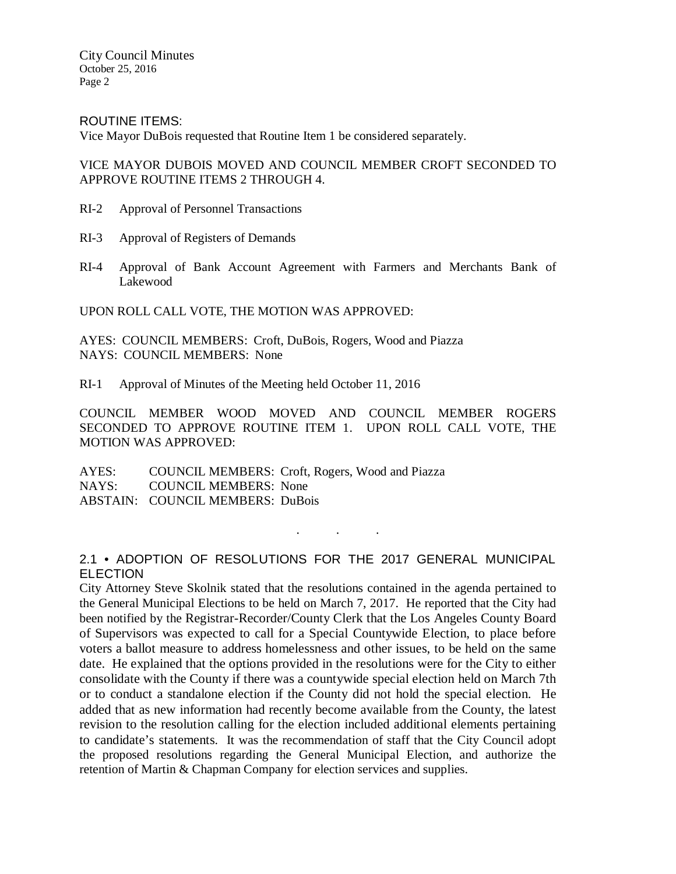ROUTINE ITEMS:

Vice Mayor DuBois requested that Routine Item 1 be considered separately.

VICE MAYOR DUBOIS MOVED AND COUNCIL MEMBER CROFT SECONDED TO APPROVE ROUTINE ITEMS 2 THROUGH 4.

- RI-2 Approval of Personnel Transactions
- RI-3 Approval of Registers of Demands
- RI-4 Approval of Bank Account Agreement with Farmers and Merchants Bank of Lakewood

UPON ROLL CALL VOTE, THE MOTION WAS APPROVED:

AYES: COUNCIL MEMBERS: Croft, DuBois, Rogers, Wood and Piazza NAYS: COUNCIL MEMBERS: None

RI-1 Approval of Minutes of the Meeting held October 11, 2016

COUNCIL MEMBER WOOD MOVED AND COUNCIL MEMBER ROGERS SECONDED TO APPROVE ROUTINE ITEM 1. UPON ROLL CALL VOTE, THE MOTION WAS APPROVED:

AYES: COUNCIL MEMBERS: Croft, Rogers, Wood and Piazza NAYS: COUNCIL MEMBERS: None ABSTAIN: COUNCIL MEMBERS: DuBois

## 2.1 • ADOPTION OF RESOLUTIONS FOR THE 2017 GENERAL MUNICIPAL ELECTION

. . .

City Attorney Steve Skolnik stated that the resolutions contained in the agenda pertained to the General Municipal Elections to be held on March 7, 2017. He reported that the City had been notified by the Registrar-Recorder/County Clerk that the Los Angeles County Board of Supervisors was expected to call for a Special Countywide Election, to place before voters a ballot measure to address homelessness and other issues, to be held on the same date. He explained that the options provided in the resolutions were for the City to either consolidate with the County if there was a countywide special election held on March 7th or to conduct a standalone election if the County did not hold the special election. He added that as new information had recently become available from the County, the latest revision to the resolution calling for the election included additional elements pertaining to candidate's statements. It was the recommendation of staff that the City Council adopt the proposed resolutions regarding the General Municipal Election, and authorize the retention of Martin & Chapman Company for election services and supplies.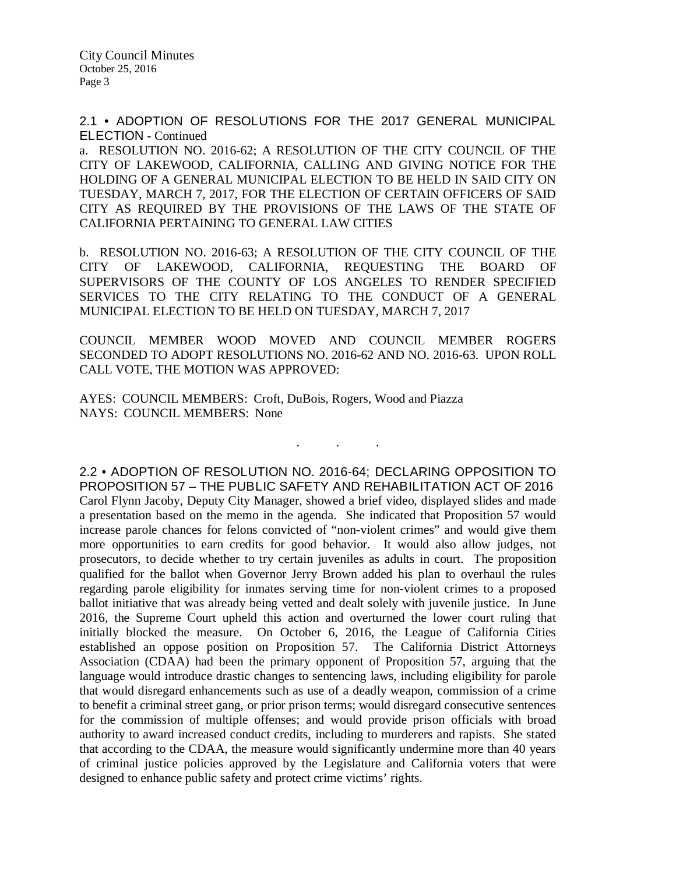2.1 • ADOPTION OF RESOLUTIONS FOR THE 2017 GENERAL MUNICIPAL ELECTION - Continued

a. RESOLUTION NO. 2016-62; A RESOLUTION OF THE CITY COUNCIL OF THE CITY OF LAKEWOOD, CALIFORNIA, CALLING AND GIVING NOTICE FOR THE HOLDING OF A GENERAL MUNICIPAL ELECTION TO BE HELD IN SAID CITY ON TUESDAY, MARCH 7, 2017, FOR THE ELECTION OF CERTAIN OFFICERS OF SAID CITY AS REQUIRED BY THE PROVISIONS OF THE LAWS OF THE STATE OF CALIFORNIA PERTAINING TO GENERAL LAW CITIES

b. RESOLUTION NO. 2016-63; A RESOLUTION OF THE CITY COUNCIL OF THE CITY OF LAKEWOOD, CALIFORNIA, REQUESTING THE BOARD OF SUPERVISORS OF THE COUNTY OF LOS ANGELES TO RENDER SPECIFIED SERVICES TO THE CITY RELATING TO THE CONDUCT OF A GENERAL MUNICIPAL ELECTION TO BE HELD ON TUESDAY, MARCH 7, 2017

COUNCIL MEMBER WOOD MOVED AND COUNCIL MEMBER ROGERS SECONDED TO ADOPT RESOLUTIONS NO. 2016-62 AND NO. 2016-63. UPON ROLL CALL VOTE, THE MOTION WAS APPROVED:

. . .

AYES: COUNCIL MEMBERS: Croft, DuBois, Rogers, Wood and Piazza NAYS: COUNCIL MEMBERS: None

2.2 • ADOPTION OF RESOLUTION NO. 2016-64; DECLARING OPPOSITION TO PROPOSITION 57 – THE PUBLIC SAFETY AND REHABILITATION ACT OF 2016 Carol Flynn Jacoby, Deputy City Manager, showed a brief video, displayed slides and made a presentation based on the memo in the agenda. She indicated that Proposition 57 would increase parole chances for felons convicted of "non-violent crimes" and would give them more opportunities to earn credits for good behavior. It would also allow judges, not prosecutors, to decide whether to try certain juveniles as adults in court. The proposition qualified for the ballot when Governor Jerry Brown added his plan to overhaul the rules regarding parole eligibility for inmates serving time for non-violent crimes to a proposed ballot initiative that was already being vetted and dealt solely with juvenile justice. In June 2016, the Supreme Court upheld this action and overturned the lower court ruling that initially blocked the measure. On October 6, 2016, the League of California Cities established an oppose position on Proposition 57. The California District Attorneys Association (CDAA) had been the primary opponent of Proposition 57, arguing that the language would introduce drastic changes to sentencing laws, including eligibility for parole that would disregard enhancements such as use of a deadly weapon, commission of a crime to benefit a criminal street gang, or prior prison terms; would disregard consecutive sentences for the commission of multiple offenses; and would provide prison officials with broad authority to award increased conduct credits, including to murderers and rapists. She stated that according to the CDAA, the measure would significantly undermine more than 40 years of criminal justice policies approved by the Legislature and California voters that were designed to enhance public safety and protect crime victims' rights.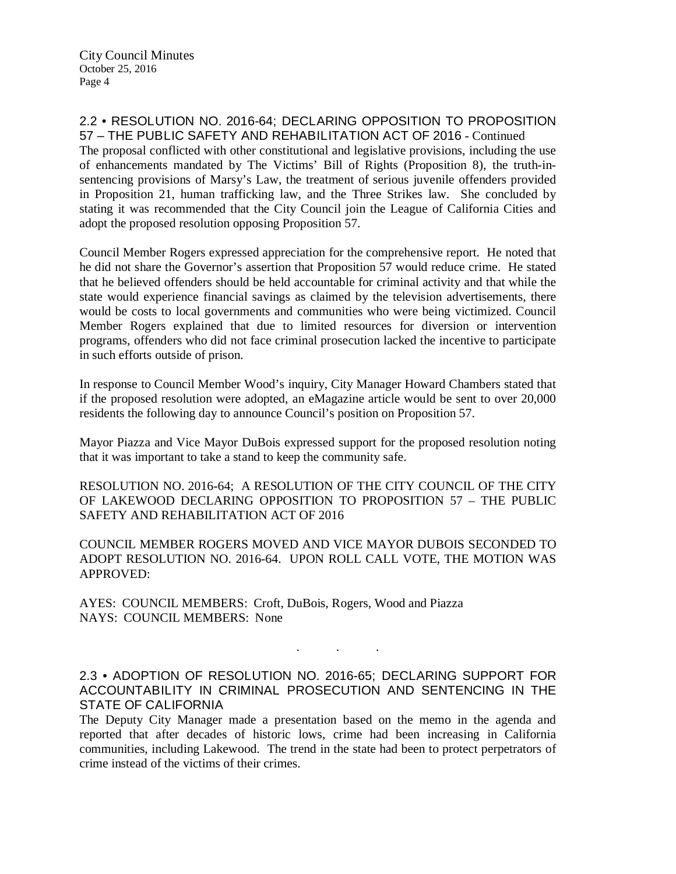### 2.2 • RESOLUTION NO. 2016-64; DECLARING OPPOSITION TO PROPOSITION 57 – THE PUBLIC SAFETY AND REHABILITATION ACT OF 2016 - Continued

The proposal conflicted with other constitutional and legislative provisions, including the use of enhancements mandated by The Victims' Bill of Rights (Proposition 8), the truth-insentencing provisions of Marsy's Law, the treatment of serious juvenile offenders provided in Proposition 21, human trafficking law, and the Three Strikes law. She concluded by stating it was recommended that the City Council join the League of California Cities and adopt the proposed resolution opposing Proposition 57.

Council Member Rogers expressed appreciation for the comprehensive report. He noted that he did not share the Governor's assertion that Proposition 57 would reduce crime. He stated that he believed offenders should be held accountable for criminal activity and that while the state would experience financial savings as claimed by the television advertisements, there would be costs to local governments and communities who were being victimized. Council Member Rogers explained that due to limited resources for diversion or intervention programs, offenders who did not face criminal prosecution lacked the incentive to participate in such efforts outside of prison.

In response to Council Member Wood's inquiry, City Manager Howard Chambers stated that if the proposed resolution were adopted, an eMagazine article would be sent to over 20,000 residents the following day to announce Council's position on Proposition 57.

Mayor Piazza and Vice Mayor DuBois expressed support for the proposed resolution noting that it was important to take a stand to keep the community safe.

RESOLUTION NO. 2016-64; A RESOLUTION OF THE CITY COUNCIL OF THE CITY OF LAKEWOOD DECLARING OPPOSITION TO PROPOSITION 57 – THE PUBLIC SAFETY AND REHABILITATION ACT OF 2016

COUNCIL MEMBER ROGERS MOVED AND VICE MAYOR DUBOIS SECONDED TO ADOPT RESOLUTION NO. 2016-64. UPON ROLL CALL VOTE, THE MOTION WAS APPROVED:

AYES: COUNCIL MEMBERS: Croft, DuBois, Rogers, Wood and Piazza NAYS: COUNCIL MEMBERS: None

2.3 • ADOPTION OF RESOLUTION NO. 2016-65; DECLARING SUPPORT FOR ACCOUNTABILITY IN CRIMINAL PROSECUTION AND SENTENCING IN THE STATE OF CALIFORNIA

. . .

The Deputy City Manager made a presentation based on the memo in the agenda and reported that after decades of historic lows, crime had been increasing in California communities, including Lakewood. The trend in the state had been to protect perpetrators of crime instead of the victims of their crimes.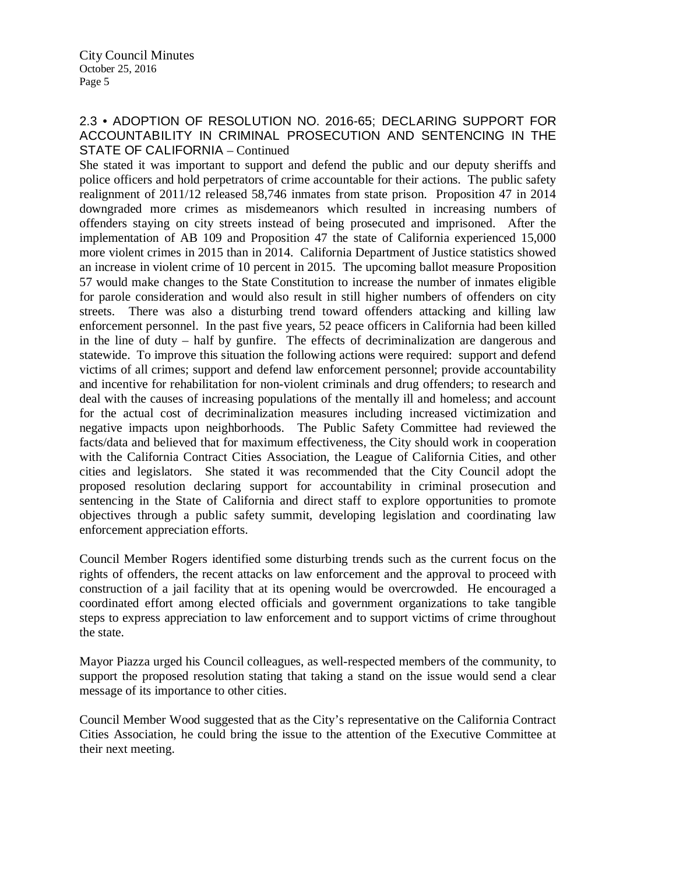# 2.3 • ADOPTION OF RESOLUTION NO. 2016-65; DECLARING SUPPORT FOR ACCOUNTABILITY IN CRIMINAL PROSECUTION AND SENTENCING IN THE STATE OF CALIFORNIA – Continued

She stated it was important to support and defend the public and our deputy sheriffs and police officers and hold perpetrators of crime accountable for their actions. The public safety realignment of 2011/12 released 58,746 inmates from state prison. Proposition 47 in 2014 downgraded more crimes as misdemeanors which resulted in increasing numbers of offenders staying on city streets instead of being prosecuted and imprisoned. After the implementation of AB 109 and Proposition 47 the state of California experienced 15,000 more violent crimes in 2015 than in 2014. California Department of Justice statistics showed an increase in violent crime of 10 percent in 2015. The upcoming ballot measure Proposition 57 would make changes to the State Constitution to increase the number of inmates eligible for parole consideration and would also result in still higher numbers of offenders on city streets. There was also a disturbing trend toward offenders attacking and killing law enforcement personnel. In the past five years, 52 peace officers in California had been killed in the line of duty – half by gunfire. The effects of decriminalization are dangerous and statewide. To improve this situation the following actions were required: support and defend victims of all crimes; support and defend law enforcement personnel; provide accountability and incentive for rehabilitation for non-violent criminals and drug offenders; to research and deal with the causes of increasing populations of the mentally ill and homeless; and account for the actual cost of decriminalization measures including increased victimization and negative impacts upon neighborhoods. The Public Safety Committee had reviewed the facts/data and believed that for maximum effectiveness, the City should work in cooperation with the California Contract Cities Association, the League of California Cities, and other cities and legislators. She stated it was recommended that the City Council adopt the proposed resolution declaring support for accountability in criminal prosecution and sentencing in the State of California and direct staff to explore opportunities to promote objectives through a public safety summit, developing legislation and coordinating law enforcement appreciation efforts.

Council Member Rogers identified some disturbing trends such as the current focus on the rights of offenders, the recent attacks on law enforcement and the approval to proceed with construction of a jail facility that at its opening would be overcrowded. He encouraged a coordinated effort among elected officials and government organizations to take tangible steps to express appreciation to law enforcement and to support victims of crime throughout the state.

Mayor Piazza urged his Council colleagues, as well-respected members of the community, to support the proposed resolution stating that taking a stand on the issue would send a clear message of its importance to other cities.

Council Member Wood suggested that as the City's representative on the California Contract Cities Association, he could bring the issue to the attention of the Executive Committee at their next meeting.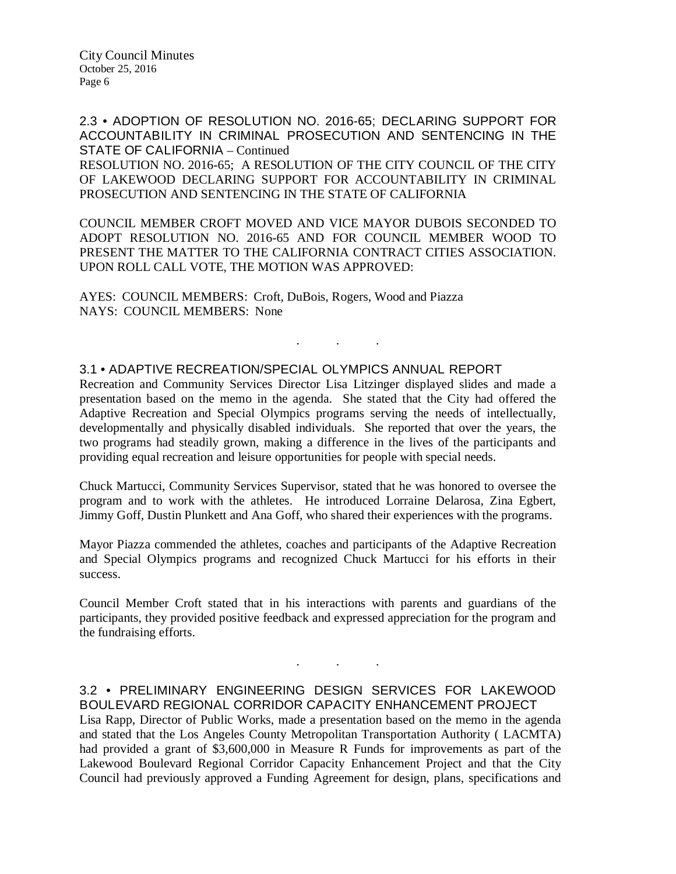2.3 • ADOPTION OF RESOLUTION NO. 2016-65; DECLARING SUPPORT FOR ACCOUNTABILITY IN CRIMINAL PROSECUTION AND SENTENCING IN THE STATE OF CALIFORNIA – Continued

RESOLUTION NO. 2016-65; A RESOLUTION OF THE CITY COUNCIL OF THE CITY OF LAKEWOOD DECLARING SUPPORT FOR ACCOUNTABILITY IN CRIMINAL PROSECUTION AND SENTENCING IN THE STATE OF CALIFORNIA

COUNCIL MEMBER CROFT MOVED AND VICE MAYOR DUBOIS SECONDED TO ADOPT RESOLUTION NO. 2016-65 AND FOR COUNCIL MEMBER WOOD TO PRESENT THE MATTER TO THE CALIFORNIA CONTRACT CITIES ASSOCIATION. UPON ROLL CALL VOTE, THE MOTION WAS APPROVED:

AYES: COUNCIL MEMBERS: Croft, DuBois, Rogers, Wood and Piazza NAYS: COUNCIL MEMBERS: None

### 3.1 • ADAPTIVE RECREATION/SPECIAL OLYMPICS ANNUAL REPORT

Recreation and Community Services Director Lisa Litzinger displayed slides and made a presentation based on the memo in the agenda. She stated that the City had offered the Adaptive Recreation and Special Olympics programs serving the needs of intellectually, developmentally and physically disabled individuals. She reported that over the years, the two programs had steadily grown, making a difference in the lives of the participants and providing equal recreation and leisure opportunities for people with special needs.

. . .

Chuck Martucci, Community Services Supervisor, stated that he was honored to oversee the program and to work with the athletes. He introduced Lorraine Delarosa, Zina Egbert, Jimmy Goff, Dustin Plunkett and Ana Goff, who shared their experiences with the programs.

Mayor Piazza commended the athletes, coaches and participants of the Adaptive Recreation and Special Olympics programs and recognized Chuck Martucci for his efforts in their success.

Council Member Croft stated that in his interactions with parents and guardians of the participants, they provided positive feedback and expressed appreciation for the program and the fundraising efforts.

## 3.2 • PRELIMINARY ENGINEERING DESIGN SERVICES FOR LAKEWOOD BOULEVARD REGIONAL CORRIDOR CAPACITY ENHANCEMENT PROJECT

. . .

Lisa Rapp, Director of Public Works, made a presentation based on the memo in the agenda and stated that the Los Angeles County Metropolitan Transportation Authority ( LACMTA) had provided a grant of \$3,600,000 in Measure R Funds for improvements as part of the Lakewood Boulevard Regional Corridor Capacity Enhancement Project and that the City Council had previously approved a Funding Agreement for design, plans, specifications and